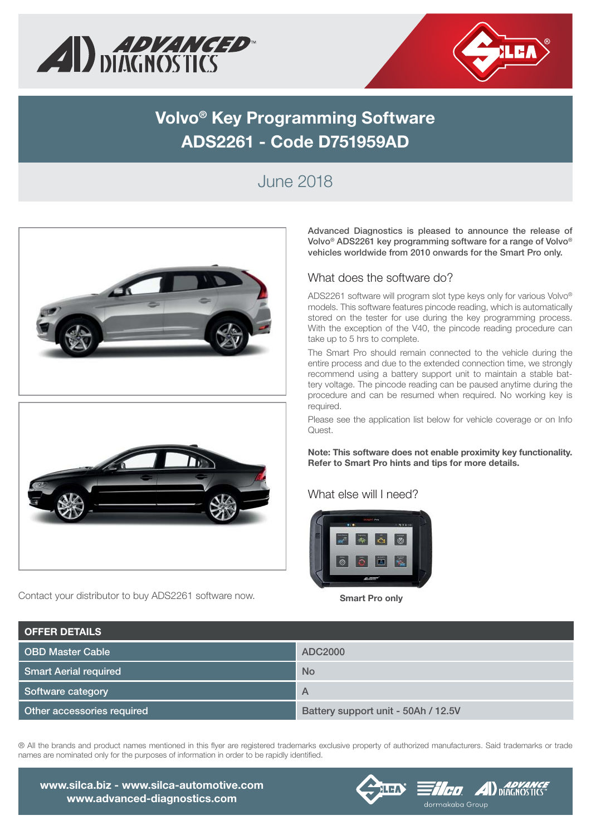



# **Volvo® Key Programming Software ADS2261 - Code D751959AD**

### June 2018





Contact your distributor to buy ADS2261 software now. **Smart Pro only** 

**Advanced Diagnostics is pleased to announce the release of Volvo® ADS2261 key programming software for a range of Volvo® vehicles worldwide from 2010 onwards for the Smart Pro only.**

#### What does the software do?

ADS2261 software will program slot type keys only for various Volvo® models. This software features pincode reading, which is automatically stored on the tester for use during the key programming process. With the exception of the V40, the pincode reading procedure can take up to 5 hrs to complete.

The Smart Pro should remain connected to the vehicle during the entire process and due to the extended connection time, we strongly recommend using a battery support unit to maintain a stable battery voltage. The pincode reading can be paused anytime during the procedure and can be resumed when required. No working key is required.

Please see the application list below for vehicle coverage or on Info Quest.

**Note: This software does not enable proximity key functionality. Refer to Smart Pro hints and tips for more details.**

### What else will I need?



| <b>OFFER DETAILS</b>         |                                     |
|------------------------------|-------------------------------------|
| OBD Master Cable             | ADC2000                             |
| <b>Smart Aerial required</b> | <b>No</b>                           |
| Software category            | A                                   |
| Other accessories required   | Battery support unit - 50Ah / 12.5V |

® All the brands and product names mentioned in this flver are registered trademarks exclusive property of authorized manufacturers. Said trademarks or trade names are nominated only for the purposes of information in order to be rapidly identified.

**www.silca.biz - www.silca-automotive.com www.advanced-diagnostics.com**

### **FICO ADVANCE** dormakaba Group